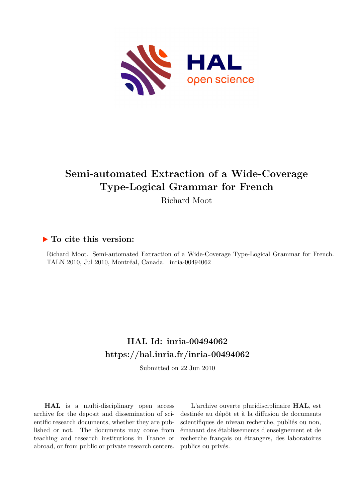

# **Semi-automated Extraction of a Wide-Coverage Type-Logical Grammar for French**

Richard Moot

#### **To cite this version:**

Richard Moot. Semi-automated Extraction of a Wide-Coverage Type-Logical Grammar for French. TALN 2010, Jul 2010, Montréal, Canada. inria-00494062

## **HAL Id: inria-00494062 <https://hal.inria.fr/inria-00494062>**

Submitted on 22 Jun 2010

**HAL** is a multi-disciplinary open access archive for the deposit and dissemination of scientific research documents, whether they are published or not. The documents may come from teaching and research institutions in France or abroad, or from public or private research centers.

L'archive ouverte pluridisciplinaire **HAL**, est destinée au dépôt et à la diffusion de documents scientifiques de niveau recherche, publiés ou non, émanant des établissements d'enseignement et de recherche français ou étrangers, des laboratoires publics ou privés.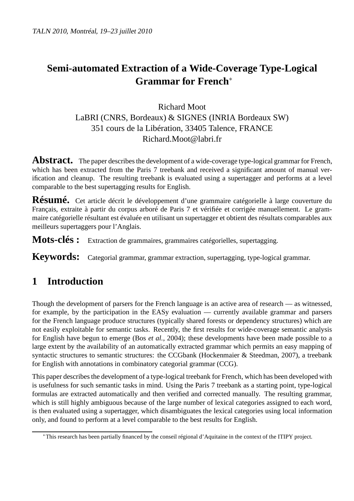## **Semi-automated Extraction of a Wide-Coverage Type-Logical Grammar for French**<sup>∗</sup>

#### Richard Moot LaBRI (CNRS, Bordeaux) & SIGNES (INRIA Bordeaux SW) 351 cours de la Libération, 33405 Talence, FRANCE Richard.Moot@labri.fr

Abstract. The paper describes the development of a wide-coverage type-logical grammar for French, which has been extracted from the Paris 7 treebank and received a significant amount of manual verification and cleanup. The resulting treebank is evaluated using a supertagger and performs at a level comparable to the best supertagging results for English.

**Résumé.** Cet article décrit le développement d'une grammaire catégorielle à large couverture du Français, extraite à partir du corpus arboré de Paris 7 et vérifiée et corrigée manuellement. Le grammaire catégorielle résultant est évaluée en utilisant un supertagger et obtient des résultats comparables aux meilleurs supertaggers pour l'Anglais.

**Mots-clés :** Extraction de grammaires, grammaires catégorielles, supertagging.

**Keywords:** Categorial grammar, grammar extraction, supertagging, type-logical grammar.

## **1 Introduction**

Though the development of parsers for the French language is an active area of research — as witnessed, for example, by the participation in the EASy evaluation — currently available grammar and parsers for the French language produce structures (typically shared forests or dependency structures) which are not easily exploitable for semantic tasks. Recently, the first results for wide-coverage semantic analysis for English have begun to emerge (Bos *et al.*, 2004); these developments have been made possible to a large extent by the availability of an automatically extracted grammar which permits an easy mapping of syntactic structures to semantic structures: the CCGbank (Hockenmaier & Steedman, 2007), a treebank for English with annotations in combinatory categorial grammar (CCG).

This paper describes the development of a type-logical treebank for French, which has been developed with is usefulness for such semantic tasks in mind. Using the Paris 7 treebank as a starting point, type-logical formulas are extracted automatically and then verified and corrected manually. The resulting grammar, which is still highly ambiguous because of the large number of lexical categories assigned to each word, is then evaluated using a supertagger, which disambiguates the lexical categories using local information only, and found to perform at a level comparable to the best results for English.

<sup>∗</sup>This research has been partially financed by the conseil régional d'Aquitaine in the context of the ITIPY project.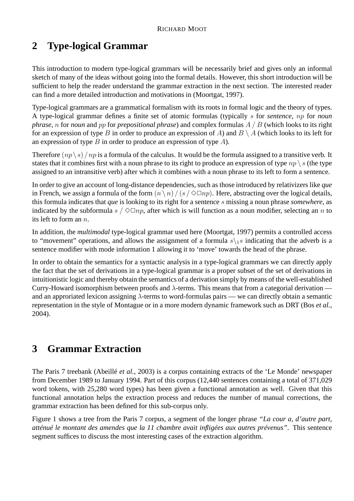# **2 Type-logical Grammar**

This introduction to modern type-logical grammars will be necessarily brief and gives only an informal sketch of many of the ideas without going into the formal details. However, this short introduction will be sufficient to help the reader understand the grammar extraction in the next section. The interested reader can find a more detailed introduction and motivations in (Moortgat, 1997).

Type-logical grammars are a grammatical formalism with its roots in formal logic and the theory of types. A type-logical grammar defines a finite set of atomic formulas (typically s for *sentence*, np for *noun phrase*, n for *noun* and pp for *prepositional phrase*) and complex formulas A / B (which looks to its right for an expression of type B in order to produce an expression of A) and  $B \setminus A$  (which looks to its left for an expression of type  $B$  in order to produce an expression of type  $A$ ).

Therefore  $(np \setminus s)/np$  is a formula of the calculus. It would be the formula assigned to a transitive verb. It states that it combines first with a noun phrase to its right to produce an expression of type  $np \setminus s$  (the type assigned to an intransitive verb) after which it combines with a noun phrase to its left to form a sentence.

In order to give an account of long-distance dependencies, such as those introduced by relativizers like *que* in French, we assign a formula of the form  $(n \nmid n) / (s / \Diamond \Box np)$ . Here, abstracting over the logical details, this formula indicates that *que* is looking to its right for a sentence s missing a noun phrase *somewhere*, as indicated by the subformula  $s / \Diamond \Box np$ , after which is will function as a noun modifier, selecting an n to its left to form an  $n$ .

In addition, the *multimodal* type-logical grammar used here (Moortgat, 1997) permits a controlled access to "movement" operations, and allows the assignment of a formula  $s\backslash_1s$  indicating that the adverb is a sentence modifier with mode information 1 allowing it to 'move' towards the head of the phrase.

In order to obtain the semantics for a syntactic analysis in a type-logical grammars we can directly apply the fact that the set of derivations in a type-logical grammar is a proper subset of the set of derivations in intuitionistic logic and thereby obtain the semantics of a derivation simply by means of the well-established Curry-Howard isomorphism between proofs and  $\lambda$ -terms. This means that from a categorial derivation and an approriated lexicon assigning  $\lambda$ -terms to word-formulas pairs — we can directly obtain a semantic representation in the style of Montague or in a more modern dynamic framework such as DRT (Bos *et al.*, 2004).

## **3 Grammar Extraction**

The Paris 7 treebank (Abeillé *et al.*, 2003) is a corpus containing extracts of the 'Le Monde' newspaper from December 1989 to January 1994. Part of this corpus (12,440 sentences containing a total of 371,029 word tokens, with 25,280 word types) has been given a functional annotation as well. Given that this functional annotation helps the extraction process and reduces the number of manual corrections, the grammar extraction has been defined for this sub-corpus only.

Figure 1 shows a tree from the Paris 7 corpus, a segment of the longer phrase *"La cour a, d'autre part, atténué le montant des amendes que la 11 chambre avait infligées aux autres prévenus"*. This sentence segment suffices to discuss the most interesting cases of the extraction algorithm.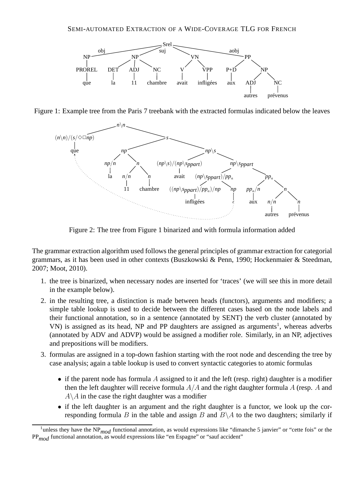

Figure 1: Example tree from the Paris 7 treebank with the extracted formulas indicated below the leaves



Figure 2: The tree from Figure 1 binarized and with formula information added

The grammar extraction algorithm used follows the general principles of grammar extraction for categorial grammars, as it has been used in other contexts (Buszkowski & Penn, 1990; Hockenmaier & Steedman, 2007; Moot, 2010).

- 1. the tree is binarized, when necessary nodes are inserted for 'traces' (we will see this in more detail in the example below).
- 2. in the resulting tree, a distinction is made between heads (functors), arguments and modifiers; a simple table lookup is used to decide between the different cases based on the node labels and their functional annotation, so in a sentence (annotated by SENT) the verb cluster (annotated by VN) is assigned as its head, NP and PP daughters are assigned as arguments<sup>1</sup>, whereas adverbs (annotated by ADV and ADVP) would be assigned a modifier role. Similarly, in an NP, adjectives and prepositions will be modifiers.
- 3. formulas are assigned in a top-down fashion starting with the root node and descending the tree by case analysis; again a table lookup is used to convert syntactic categories to atomic formulas
	- if the parent node has formula A assigned to it and the left (resp. right) daughter is a modifier then the left daughter will receive formula  $A/A$  and the right daughter formula A (resp. A and  $A \setminus A$  in the case the right daughter was a modifier
	- if the left daughter is an argument and the right daughter is a functor, we look up the corresponding formula B in the table and assign B and  $B \setminus A$  to the two daughters; similarly if

<sup>&</sup>lt;sup>1</sup>unless they have the NP<sub>mod</sub> functional annotation, as would expressions like "dimanche 5 janvier" or "cette fois" or the PP*mod* functional annotation, as would expressions like "en Espagne" or "sauf accident"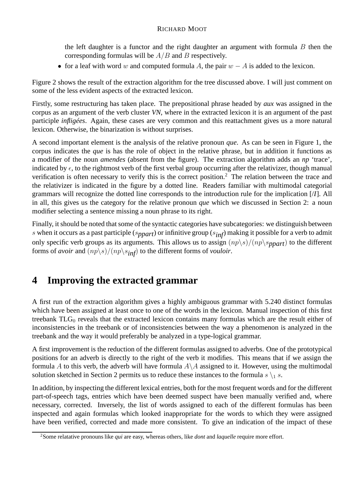#### RICHARD MOOT

the left daughter is a functor and the right daughter an argument with formula  $B$  then the corresponding formulas will be  $A/B$  and B respectively.

• for a leaf with word w and computed formula A, the pair  $w - A$  is added to the lexicon.

Figure 2 shows the result of the extraction algorithm for the tree discussed above. I will just comment on some of the less evident aspects of the extracted lexicon.

Firstly, some restructuring has taken place. The prepositional phrase headed by *aux* was assigned in the corpus as an argument of the verb cluster *VN*, where in the extracted lexicon it is an argument of the past participle *infligées*. Again, these cases are very common and this reattachment gives us a more natural lexicon. Otherwise, the binarization is without surprises.

A second important element is the analysis of the relative pronoun *que*. As can be seen in Figure 1, the corpus indicates the *que* is has the role of object in the relative phrase, but in addition it functions as a modifier of the noun *amendes* (absent from the figure). The extraction algorithm adds an *np* 'trace', indicated by  $\epsilon$ , to the rightmost verb of the first verbal group occurring after the relativizer, though manual verification is often necessary to verify this is the correct position.<sup>2</sup> The relation between the trace and the relativizer is indicated in the figure by a dotted line. Readers familiar with multimodal categorial grammars will recognize the dotted line corresponds to the introduction rule for the implication [/*I*]. All in all, this gives us the category for the relative pronoun *que* which we discussed in Section 2: a noun modifier selecting a sentence missing a noun phrase to its right.

Finally, it should be noted that some of the syntactic categories have subcategories: we distinguish between s when it occurs as a past participle (s*ppart*) or infinitive group (s*inf*) making it possible for a verb to admit only specific verb groups as its arguments. This allows us to assign  $(np\backslash s)/(np\backslash sppart)$  to the different forms of *avoir* and  $(np\gtrslash s)/(np\gtrslash s_{inf})$  to the different forms of *vouloir*.

### **4 Improving the extracted grammar**

A first run of the extraction algorithm gives a highly ambiguous grammar with 5.240 distinct formulas which have been assigned at least once to one of the words in the lexicon. Manual inspection of this first treebank  $TLG<sub>0</sub>$  reveals that the extracted lexicon contains many formulas which are the result either of inconsistencies in the treebank or of inconsistencies between the way a phenomenon is analyzed in the treebank and the way it would preferably be analyzed in a type-logical grammar.

A first improvement is the reduction of the different formulas assigned to adverbs. One of the prototypical positions for an adverb is directly to the right of the verb it modifies. This means that if we assign the formula A to this verb, the adverb will have formula  $A \setminus A$  assigned to it. However, using the multimodal solution sketched in Section 2 permits us to reduce these instances to the formula  $s \setminus 1$  s.

In addition, by inspecting the different lexical entries, both for the most frequent words and for the different part-of-speech tags, entries which have been deemed suspect have been manually verified and, where necessary, corrected. Inversely, the list of words assigned to each of the different formulas has been inspected and again formulas which looked inappropriate for the words to which they were assigned have been verified, corrected and made more consistent. To give an indication of the impact of these

<sup>2</sup>Some relatative pronouns like *qui* are easy, whereas others, like *dont* and *laquelle* require more effort.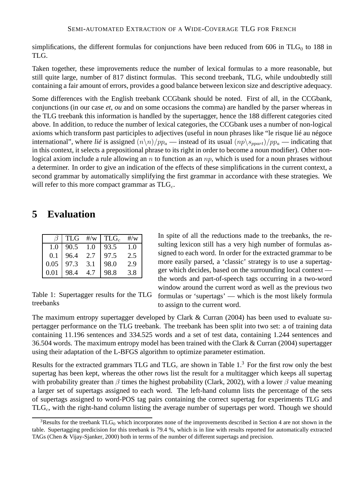simplifications, the different formulas for conjunctions have been reduced from 606 in  $TLG_0$  to 188 in TLG.

Taken together, these improvements reduce the number of lexical formulas to a more reasonable, but still quite large, number of 817 distinct formulas. This second treebank, TLG, while undoubtedly still containing a fair amount of errors, provides a good balance between lexicon size and descriptive adequacy.

Some differences with the English treebank CCGbank should be noted. First of all, in the CCGbank, conjunctions (in our case *et*, *ou* and on some occasions the comma) are handled by the parser whereas in the TLG treebank this information is handled by the supertagger, hence the 188 different categories cited above. In addition, to reduce the number of lexical categories, the CCGbank uses a number of non-logical axioms which transform past participles to adjectives (useful in noun phrases like "le risque lié au négoce international", where *lié* is assigned  $(n\backslash n)/pp_a$  — instead of its usual  $(np\backslash s_{nnart})/pp_a$  — indicating that in this context, it selects a prepositional phrase to its right in order to become a noun modifier). Other nonlogical axiom include a rule allowing an  $n$  to function as an  $np$ , which is used for a noun phrases without a determiner. In order to give an indication of the effects of these simplifications in the current context, a second grammar by automatically simplifying the first grammar in accordance with these strategies. We will refer to this more compact grammar as  $TLG_c$ .

#### **5 Evaluation**

|      | TLG  | $\#/{\rm w}$ | $TLG_c$ | $\#/w$ |
|------|------|--------------|---------|--------|
| 1.0  | 90.5 | 1.0          | 93.5    | 1.0    |
| 0.1  | 96.4 | 2.7          | 97.5    | 2.5    |
| 0.05 | 97.3 | 3.1          | 98.0    | 2.9    |
| 0.01 | 98.4 | 4.7          | 98.8    | 3.8    |

Table 1: Supertagger results for the TLG treebanks

In spite of all the reductions made to the treebanks, the resulting lexicon still has a very high number of formulas assigned to each word. In order for the extracted grammar to be more easily parsed, a 'classic' strategy is to use a supertagger which decides, based on the surrounding local context the words and part-of-speech tags occurring in a two-word window around the current word as well as the previous two formulas or 'supertags' — which is the most likely formula to assign to the current word.

The maximum entropy supertagger developed by Clark & Curran (2004) has been used to evaluate supertagger performance on the TLG treebank. The treebank has been split into two set: a of training data containing 11.196 sentences and 334.525 words and a set of test data, containing 1.244 sentences and 36.504 words. The maximum entropy model has been trained with the Clark & Curran (2004) supertagger using their adaptation of the L-BFGS algorithm to optimize parameter estimation.

Results for the extracted grammars TLG and  $TLG<sub>c</sub>$  are shown in Table 1.<sup>3</sup> For the first row only the best supertag has been kept, whereas the other rows list the result for a multitagger which keeps all supertag with probability greater than  $\beta$  times the highest probability (Clark, 2002), with a lower  $\beta$  value meaning a larger set of supertags assigned to each word. The left-hand column lists the percentage of the sets of supertags assigned to word-POS tag pairs containing the correct supertag for experiments TLG and  $TLG<sub>c</sub>$ , with the right-hand column listing the average number of supertags per word. Though we should

<sup>&</sup>lt;sup>3</sup>Results for the treebank TLG<sub>0</sub> which incorporates none of the improvements described in Section 4 are not shown in the table. Supertagging predicision for this treebank is 79.4 %, which is in line with results reported for automatically extracted TAGs (Chen & Vijay-Sjanker, 2000) both in terms of the number of different supertags and precision.